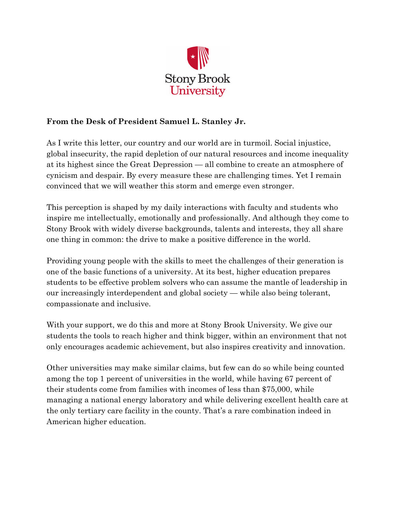

# **From the Desk of President Samuel L. Stanley Jr.**

As I write this letter, our country and our world are in turmoil. Social injustice, global insecurity, the rapid depletion of our natural resources and income inequality at its highest since the Great Depression — all combine to create an atmosphere of cynicism and despair. By every measure these are challenging times. Yet I remain convinced that we will weather this storm and emerge even stronger.

This perception is shaped by my daily interactions with faculty and students who inspire me intellectually, emotionally and professionally. And although they come to Stony Brook with widely diverse backgrounds, talents and interests, they all share one thing in common: the drive to make a positive difference in the world.

Providing young people with the skills to meet the challenges of their generation is one of the basic functions of a university. At its best, higher education prepares students to be effective problem solvers who can assume the mantle of leadership in our increasingly interdependent and global society — while also being tolerant, compassionate and inclusive.

With your support, we do this and more at Stony Brook University. We give our students the tools to reach higher and think bigger, within an environment that not only encourages academic achievement, but also inspires creativity and innovation.

Other universities may make similar claims, but few can do so while being counted among the top 1 percent of universities in the world, while having 67 percent of their students come from families with incomes of less than \$75,000, while managing a national energy laboratory and while delivering excellent health care at the only tertiary care facility in the county. That's a rare combination indeed in American higher education.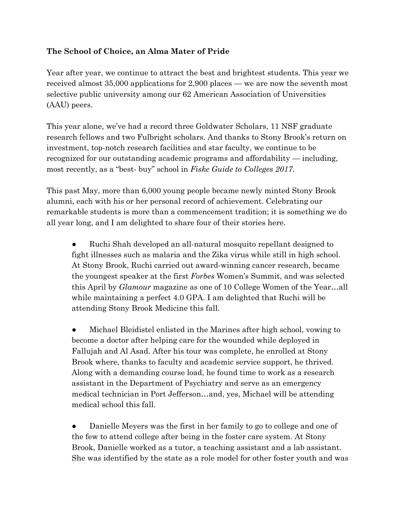## **The School of Choice, an Alma Mater of Pride**

Year after year, we continue to attract the best and brightest students. This year we received almost 35,000 applications for 2,900 places — we are now the seventh most selective public university among our 62 American Association of Universities (AAU) peers.

This year alone, we've had a record three Goldwater Scholars, 11 NSF graduate research fellows and two Fulbright scholars. And thanks to Stony Brook's return on investment, top-notch research facilities and star faculty, we continue to be recognized for our outstanding academic programs and affordability — including, most recently, as a "best- buy" school in *Fiske Guide to Colleges 2017*.

This past May, more than 6,000 young people became newly minted Stony Brook alumni, each with his or her personal record of achievement. Celebrating our remarkable students is more than a commencement tradition; it is something we do all year long, and I am delighted to share four of their stories here.

Ruchi Shah developed an all-natural mosquito repellant designed to fight illnesses such as malaria and the Zika virus while still in high school. At Stony Brook, Ruchi carried out award-winning cancer research, became the youngest speaker at the first *Forbes* Women's Summit, and was selected this April by *Glamour* magazine as one of 10 College Women of the Year…all while maintaining a perfect 4.0 GPA. I am delighted that Ruchi will be attending Stony Brook Medicine this fall.

Michael Bleidistel enlisted in the Marines after high school, vowing to become a doctor after helping care for the wounded while deployed in Fallujah and Al Asad. After his tour was complete, he enrolled at Stony Brook where, thanks to faculty and academic service support, he thrived. Along with a demanding course load, he found time to work as a research assistant in the Department of Psychiatry and serve as an emergency medical technician in Port Jefferson…and, yes, Michael will be attending medical school this fall.

Danielle Meyers was the first in her family to go to college and one of the few to attend college after being in the foster care system. At Stony Brook, Danielle worked as a tutor, a teaching assistant and a lab assistant. She was identified by the state as a role model for other foster youth and was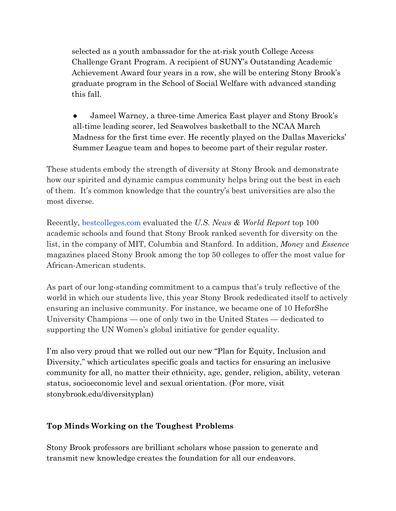selected as a youth ambassador for the at-risk youth College Access Challenge Grant Program. A recipient of SUNY's Outstanding Academic Achievement Award four years in a row, she will be entering Stony Brook's graduate program in the School of Social Welfare with advanced standing this fall.

• Jameel Warney, a three-time America East player and Stony Brook's all-time leading scorer, led Seawolves basketball to the NCAA March Madness for the first time ever. He recently played on the Dallas Mavericks' Summer League team and hopes to become part of their regular roster.

These students embody the strength of diversity at Stony Brook and demonstrate how our spirited and dynamic campus community helps bring out the best in each of them. It's common knowledge that the country's best universities are also the most diverse.

Recently, [bestcolleges.com](http://bestcolleges.com/) evaluated the *U.S. News & World Report* top 100 academic schools and found that Stony Brook ranked seventh for diversity on the list, in the company of MIT, Columbia and Stanford. In addition, *Money* and *Essence* magazines placed Stony Brook among the top 50 colleges to offer the most value for African-American students.

As part of our long-standing commitment to a campus that's truly reflective of the world in which our students live, this year Stony Brook rededicated itself to actively ensuring an inclusive community. For instance, we became one of 10 HeforShe University Champions — one of only two in the United States — dedicated to supporting the UN Women's global initiative for gender equality.

I'm also very proud that we rolled out our new "Plan for Equity, Inclusion and Diversity," which articulates specific goals and tactics for ensuring an inclusive community for all, no matter their ethnicity, age, gender, religion, ability, veteran status, socioeconomic level and sexual orientation. (For more, visit stonybrook.edu/diversityplan)

## **Top Minds Working on the Toughest Problems**

Stony Brook professors are brilliant scholars whose passion to generate and transmit new knowledge creates the foundation for all our endeavors.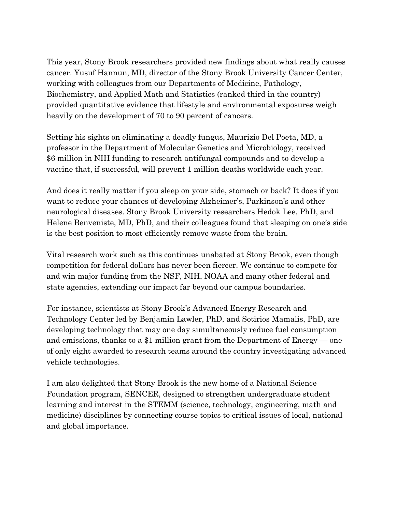This year, Stony Brook researchers provided new findings about what really causes cancer. Yusuf Hannun, MD, director of the Stony Brook University Cancer Center, working with colleagues from our Departments of Medicine, Pathology, Biochemistry, and Applied Math and Statistics (ranked third in the country) provided quantitative evidence that lifestyle and environmental exposures weigh heavily on the development of 70 to 90 percent of cancers.

Setting his sights on eliminating a deadly fungus, Maurizio Del Poeta, MD, a professor in the Department of Molecular Genetics and Microbiology, received \$6 million in NIH funding to research antifungal compounds and to develop a vaccine that, if successful, will prevent 1 million deaths worldwide each year.

And does it really matter if you sleep on your side, stomach or back? It does if you want to reduce your chances of developing Alzheimer's, Parkinson's and other neurological diseases. Stony Brook University researchers Hedok Lee, PhD, and Helene Benveniste, MD, PhD, and their colleagues found that sleeping on one's side is the best position to most efficiently remove waste from the brain.

Vital research work such as this continues unabated at Stony Brook, even though competition for federal dollars has never been fiercer. We continue to compete for and win major funding from the NSF, NIH, NOAA and many other federal and state agencies, extending our impact far beyond our campus boundaries.

For instance, scientists at Stony Brook's Advanced Energy Research and Technology Center led by Benjamin Lawler, PhD, and Sotirios Mamalis, PhD, are developing technology that may one day simultaneously reduce fuel consumption and emissions, thanks to a \$1 million grant from the Department of Energy — one of only eight awarded to research teams around the country investigating advanced vehicle technologies.

I am also delighted that Stony Brook is the new home of a National Science Foundation program, SENCER, designed to strengthen undergraduate student learning and interest in the STEMM (science, technology, engineering, math and medicine) disciplines by connecting course topics to critical issues of local, national and global importance.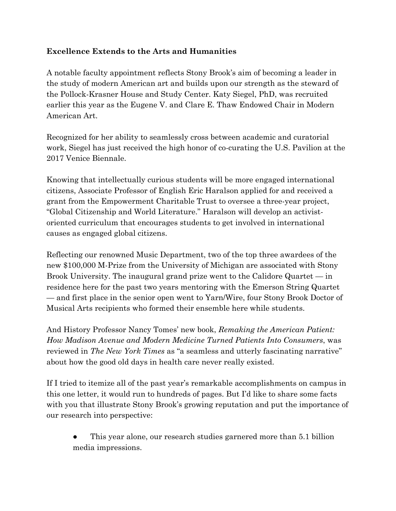### **Excellence Extends to the Arts and Humanities**

A notable faculty appointment reflects Stony Brook's aim of becoming a leader in the study of modern American art and builds upon our strength as the steward of the Pollock-Krasner House and Study Center. Katy Siegel, PhD, was recruited earlier this year as the Eugene V. and Clare E. Thaw Endowed Chair in Modern American Art.

Recognized for her ability to seamlessly cross between academic and curatorial work, Siegel has just received the high honor of co-curating the U.S. Pavilion at the 2017 Venice Biennale.

Knowing that intellectually curious students will be more engaged international citizens, Associate Professor of English Eric Haralson applied for and received a grant from the Empowerment Charitable Trust to oversee a three-year project, "Global Citizenship and World Literature." Haralson will develop an activistoriented curriculum that encourages students to get involved in international causes as engaged global citizens.

Reflecting our renowned Music Department, two of the top three awardees of the new \$100,000 M-Prize from the University of Michigan are associated with Stony Brook University. The inaugural grand prize went to the Calidore Quartet — in residence here for the past two years mentoring with the Emerson String Quartet — and first place in the senior open went to Yarn/Wire, four Stony Brook Doctor of Musical Arts recipients who formed their ensemble here while students.

And History Professor Nancy Tomes' new book, *Remaking the American Patient: How Madison Avenue and Modern Medicine Turned Patients Into Consumers*, was reviewed in *The New York Times* as "a seamless and utterly fascinating narrative" about how the good old days in health care never really existed.

If I tried to itemize all of the past year's remarkable accomplishments on campus in this one letter, it would run to hundreds of pages. But I'd like to share some facts with you that illustrate Stony Brook's growing reputation and put the importance of our research into perspective:

This year alone, our research studies garnered more than 5.1 billion media impressions.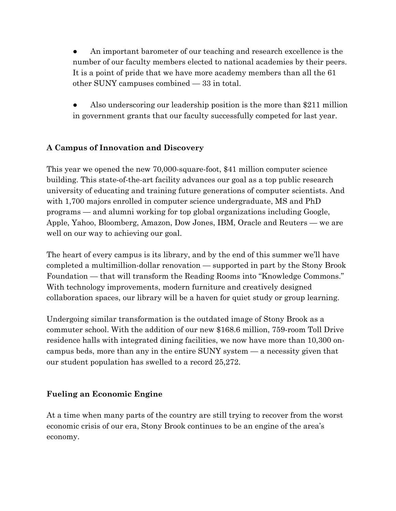An important barometer of our teaching and research excellence is the number of our faculty members elected to national academies by their peers. It is a point of pride that we have more academy members than all the 61 other SUNY campuses combined — 33 in total.

Also underscoring our leadership position is the more than  $$211$  million in government grants that our faculty successfully competed for last year.

## **A Campus of Innovation and Discovery**

This year we opened the new 70,000-square-foot, \$41 million computer science building. This state-of-the-art facility advances our goal as a top public research university of educating and training future generations of computer scientists. And with 1,700 majors enrolled in computer science undergraduate, MS and PhD programs — and alumni working for top global organizations including Google, Apple, Yahoo, Bloomberg, Amazon, Dow Jones, IBM, Oracle and Reuters — we are well on our way to achieving our goal.

The heart of every campus is its library, and by the end of this summer we'll have completed a multimillion-dollar renovation — supported in part by the Stony Brook Foundation — that will transform the Reading Rooms into "Knowledge Commons." With technology improvements, modern furniture and creatively designed collaboration spaces, our library will be a haven for quiet study or group learning.

Undergoing similar transformation is the outdated image of Stony Brook as a commuter school. With the addition of our new \$168.6 million, 759-room Toll Drive residence halls with integrated dining facilities, we now have more than 10,300 oncampus beds, more than any in the entire SUNY system — a necessity given that our student population has swelled to a record 25,272.

#### **Fueling an Economic Engine**

At a time when many parts of the country are still trying to recover from the worst economic crisis of our era, Stony Brook continues to be an engine of the area's economy.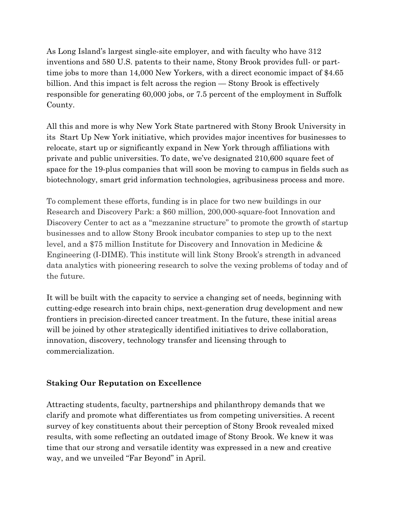As Long Island's largest single-site employer, and with faculty who have 312 inventions and 580 U.S. patents to their name, Stony Brook provides full- or parttime jobs to more than 14,000 New Yorkers, with a direct economic impact of \$4.65 billion. And this impact is felt across the region — Stony Brook is effectively responsible for generating 60,000 jobs, or 7.5 percent of the employment in Suffolk County.

All this and more is why New York State partnered with Stony Brook University in its Start Up New York initiative, which provides major incentives for businesses to relocate, start up or significantly expand in New York through affiliations with private and public universities. To date, we've designated 210,600 square feet of space for the 19-plus companies that will soon be moving to campus in fields such as biotechnology, smart grid information technologies, agribusiness process and more.

To complement these efforts, funding is in place for two new buildings in our Research and Discovery Park: a \$60 million, 200,000-square-foot Innovation and Discovery Center to act as a "mezzanine structure" to promote the growth of startup businesses and to allow Stony Brook incubator companies to step up to the next level, and a \$75 million Institute for Discovery and Innovation in Medicine & Engineering (I-DIME). This institute will link Stony Brook's strength in advanced data analytics with pioneering research to solve the vexing problems of today and of the future.

It will be built with the capacity to service a changing set of needs, beginning with cutting-edge research into brain chips, next-generation drug development and new frontiers in precision-directed cancer treatment. In the future, these initial areas will be joined by other strategically identified initiatives to drive collaboration, innovation, discovery, technology transfer and licensing through to commercialization.

#### **Staking Our Reputation on Excellence**

Attracting students, faculty, partnerships and philanthropy demands that we clarify and promote what differentiates us from competing universities. A recent survey of key constituents about their perception of Stony Brook revealed mixed results, with some reflecting an outdated image of Stony Brook. We knew it was time that our strong and versatile identity was expressed in a new and creative way, and we unveiled "Far Beyond" in April.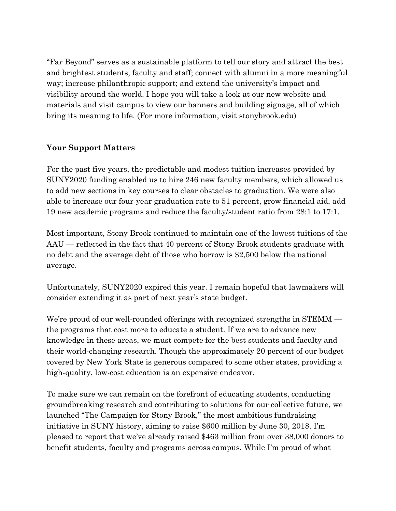"Far Beyond" serves as a sustainable platform to tell our story and attract the best and brightest students, faculty and staff; connect with alumni in a more meaningful way; increase philanthropic support; and extend the university's impact and visibility around the world. I hope you will take a look at our new website and materials and visit campus to view our banners and building signage, all of which bring its meaning to life. (For more information, visit stonybrook.edu)

#### **Your Support Matters**

For the past five years, the predictable and modest tuition increases provided by SUNY2020 funding enabled us to hire 246 new faculty members, which allowed us to add new sections in key courses to clear obstacles to graduation. We were also able to increase our four-year graduation rate to 51 percent, grow financial aid, add 19 new academic programs and reduce the faculty/student ratio from 28:1 to 17:1.

Most important, Stony Brook continued to maintain one of the lowest tuitions of the AAU — reflected in the fact that 40 percent of Stony Brook students graduate with no debt and the average debt of those who borrow is \$2,500 below the national average.

Unfortunately, SUNY2020 expired this year. I remain hopeful that lawmakers will consider extending it as part of next year's state budget.

We're proud of our well-rounded offerings with recognized strengths in STEMM the programs that cost more to educate a student. If we are to advance new knowledge in these areas, we must compete for the best students and faculty and their world-changing research. Though the approximately 20 percent of our budget covered by New York State is generous compared to some other states, providing a high-quality, low-cost education is an expensive endeavor.

To make sure we can remain on the forefront of educating students, conducting groundbreaking research and contributing to solutions for our collective future, we launched "The Campaign for Stony Brook," the most ambitious fundraising initiative in SUNY history, aiming to raise \$600 million by June 30, 2018. I'm pleased to report that we've already raised \$463 million from over 38,000 donors to benefit students, faculty and programs across campus. While I'm proud of what